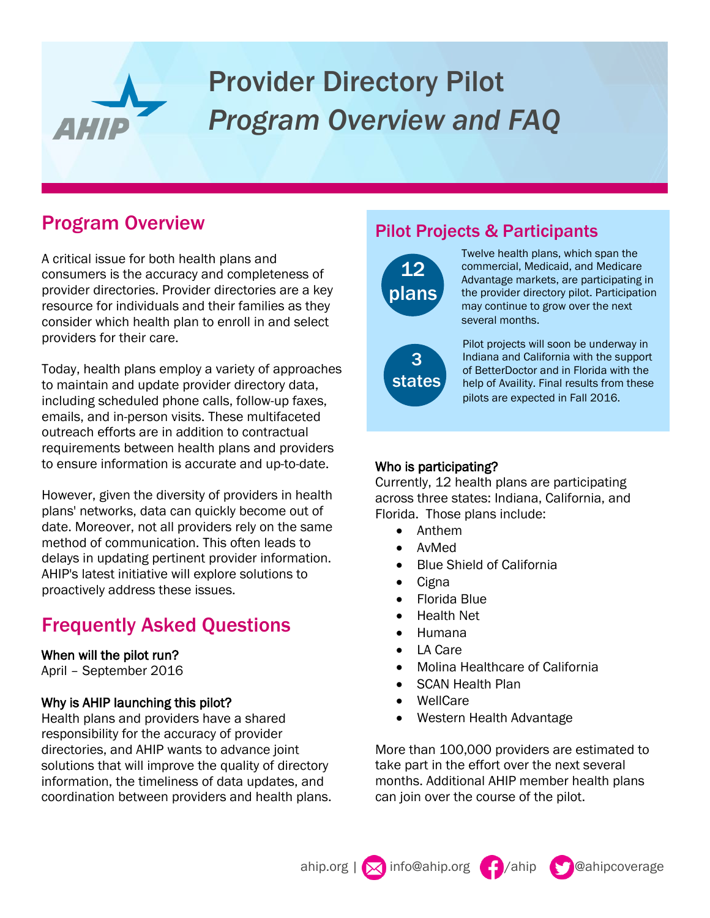# Provider Directory Pilot *Program Overview and FAQ*

## Program Overview

AHII.

A critical issue for both health plans and consumers is the accuracy and completeness of provider directories. Provider directories are a key resource for individuals and their families as they consider which health plan to enroll in and select providers for their care.

Today, health plans employ a variety of approaches to maintain and update provider directory data, including scheduled phone calls, follow-up faxes, emails, and in-person visits. These multifaceted outreach efforts are in addition to contractual requirements between health plans and providers to ensure information is accurate and up-to-date.

However, given the diversity of providers in health plans' networks, data can quickly become out of date. Moreover, not all providers rely on the same method of communication. This often leads to delays in updating pertinent provider information. AHIP's latest initiative will explore solutions to proactively address these issues.

## Frequently Asked Questions

#### When will the pilot run?

April – September 2016

#### Why is AHIP launching this pilot?

Health plans and providers have a shared responsibility for the accuracy of provider directories, and AHIP wants to advance joint solutions that will improve the quality of directory information, the timeliness of data updates, and coordination between providers and health plans.

### Pilot Projects & Participants



states

s

Twelve health plans, which span the commercial, Medicaid, and Medicare Advantage markets, are participating in the provider directory pilot. Participation may continue to grow over the next several months.

Pilot projects will soon be underway in Indiana and California with the support of BetterDoctor and in Florida with the help of Availity. Final results from these pilots are expected in Fall 2016.

#### Who is participating?

Currently, 12 health plans are participating across three states: Indiana, California, and Florida. Those plans include:

- Anthem
- AvMed
- Blue Shield of California
- Cigna
- Florida Blue
- Health Net
- Humana
- LA Care
- Molina Healthcare of California
- SCAN Health Plan
- WellCare
- Western Health Advantage

More than 100,000 providers are estimated to take part in the effort over the next several months. Additional AHIP member health plans can join over the course of the pilot.